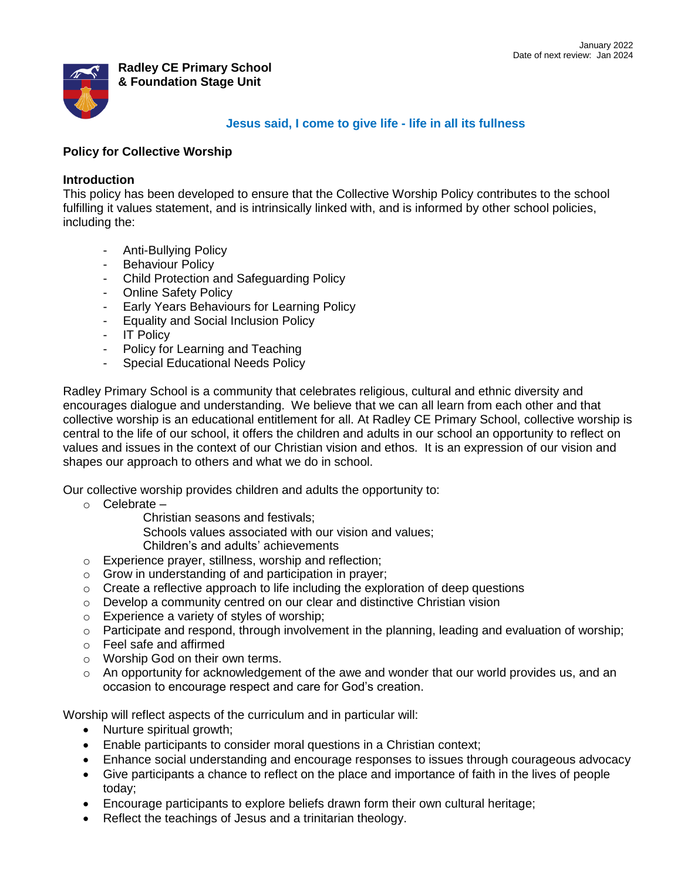

## **Radley CE Primary School & Foundation Stage Unit**

# **Jesus said, I come to give life - life in all its fullness**

## **Policy for Collective Worship**

## **Introduction**

This policy has been developed to ensure that the Collective Worship Policy contributes to the school fulfilling it values statement, and is intrinsically linked with, and is informed by other school policies, including the:

- Anti-Bullying Policy
- Behaviour Policy
- Child Protection and Safeguarding Policy
- Online Safety Policy
- Early Years Behaviours for Learning Policy
- Equality and Social Inclusion Policy
- IT Policy
- Policy for Learning and Teaching
- Special Educational Needs Policy

Radley Primary School is a community that celebrates religious, cultural and ethnic diversity and encourages dialogue and understanding. We believe that we can all learn from each other and that collective worship is an educational entitlement for all. At Radley CE Primary School, collective worship is central to the life of our school, it offers the children and adults in our school an opportunity to reflect on values and issues in the context of our Christian vision and ethos. It is an expression of our vision and shapes our approach to others and what we do in school.

Our collective worship provides children and adults the opportunity to:

- o Celebrate
	- Christian seasons and festivals;

Schools values associated with our vision and values;

Children's and adults' achievements

- o Experience prayer, stillness, worship and reflection;
- o Grow in understanding of and participation in prayer;
- $\circ$  Create a reflective approach to life including the exploration of deep questions
- $\circ$  Develop a community centred on our clear and distinctive Christian vision
- o Experience a variety of styles of worship;
- o Participate and respond, through involvement in the planning, leading and evaluation of worship;
- o Feel safe and affirmed
- o Worship God on their own terms.
- $\circ$  An opportunity for acknowledgement of the awe and wonder that our world provides us, and an occasion to encourage respect and care for God's creation.

Worship will reflect aspects of the curriculum and in particular will:

- Nurture spiritual growth;
- Enable participants to consider moral questions in a Christian context;
- Enhance social understanding and encourage responses to issues through courageous advocacy
- Give participants a chance to reflect on the place and importance of faith in the lives of people today;
- Encourage participants to explore beliefs drawn form their own cultural heritage;
- Reflect the teachings of Jesus and a trinitarian theology.